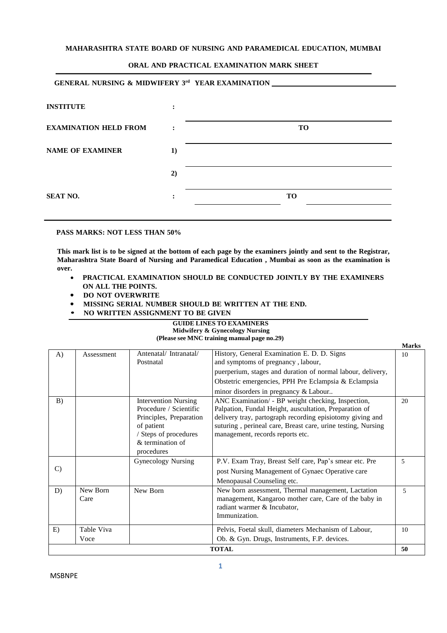#### **MAHARASHTRA STATE BOARD OF NURSING AND PARAMEDICAL EDUCATION, MUMBAI**

#### **ORAL AND PRACTICAL EXAMINATION MARK SHEET**

| <b>GENERAL NURSING &amp; MIDWIFERY 3rd YEAR EXAMINATION ___</b> |                |                |
|-----------------------------------------------------------------|----------------|----------------|
| <b>INSTITUTE</b>                                                | ፡              |                |
| <b>EXAMINATION HELD FROM</b>                                    | $\ddot{\cdot}$ | TО             |
| <b>NAME OF EXAMINER</b>                                         | 1)             |                |
|                                                                 | 2)             |                |
| <b>SEAT NO.</b>                                                 | ٠              | T <sub>O</sub> |
|                                                                 |                |                |

#### **PASS MARKS: NOT LESS THAN 50%**

**This mark list is to be signed at the bottom of each page by the examiners jointly and sent to the Registrar, Maharashtra State Board of Nursing and Paramedical Education , Mumbai as soon as the examination is over.**

- **PRACTICAL EXAMINATION SHOULD BE CONDUCTED JOINTLY BY THE EXAMINERS ON ALL THE POINTS.**
- $\bullet$ **DO NOT OVERWRITE**
- **MISSING SERIAL NUMBER SHOULD BE WRITTEN AT THE END.**
- **• NO WRITTEN ASSIGNMENT TO BE GIVEN**

#### **GUIDE LINES TO EXAMINERS Midwifery & Gynecology Nursing (Please see MNC training manual page no.29)**

**Marks**

|               |                    |                                                                                                                                                           |                                                                                                                                                                                                                                                                               | Marks |
|---------------|--------------------|-----------------------------------------------------------------------------------------------------------------------------------------------------------|-------------------------------------------------------------------------------------------------------------------------------------------------------------------------------------------------------------------------------------------------------------------------------|-------|
| A)            | Assessment         | Antenatal/Intranatal/<br>Postnatal                                                                                                                        | History, General Examination E. D. D. Signs<br>and symptoms of pregnancy, labour,                                                                                                                                                                                             | 10    |
|               |                    |                                                                                                                                                           | puerperium, stages and duration of normal labour, delivery,                                                                                                                                                                                                                   |       |
|               |                    |                                                                                                                                                           | Obstetric emergencies, PPH Pre Eclampsia & Eclampsia                                                                                                                                                                                                                          |       |
|               |                    |                                                                                                                                                           | minor disorders in pregnancy & Labour                                                                                                                                                                                                                                         |       |
| B)            |                    | <b>Intervention Nursing</b><br>Procedure / Scientific<br>Principles, Preparation<br>of patient<br>/ Steps of procedures<br>& termination of<br>procedures | ANC Examination/ - BP weight checking, Inspection,<br>Palpation, Fundal Height, auscultation, Preparation of<br>delivery tray, partograph recording episiotomy giving and<br>suturing, perineal care, Breast care, urine testing, Nursing<br>management, records reports etc. | 20    |
| $\mathcal{C}$ |                    | Gynecology Nursing                                                                                                                                        | P.V. Exam Tray, Breast Self care, Pap's smear etc. Pre<br>post Nursing Management of Gynaec Operative care<br>Menopausal Counseling etc.                                                                                                                                      | 5     |
| D)            | New Born<br>Care   | New Born                                                                                                                                                  | New born assessment, Thermal management, Lactation<br>management, Kangaroo mother care, Care of the baby in<br>radiant warmer & Incubator,<br>Immunization.                                                                                                                   | 5     |
| E)            | Table Viva<br>Voce |                                                                                                                                                           | Pelvis, Foetal skull, diameters Mechanism of Labour,<br>Ob. & Gyn. Drugs, Instruments, F.P. devices.                                                                                                                                                                          | 10    |
|               |                    |                                                                                                                                                           | <b>TOTAL</b>                                                                                                                                                                                                                                                                  | 50    |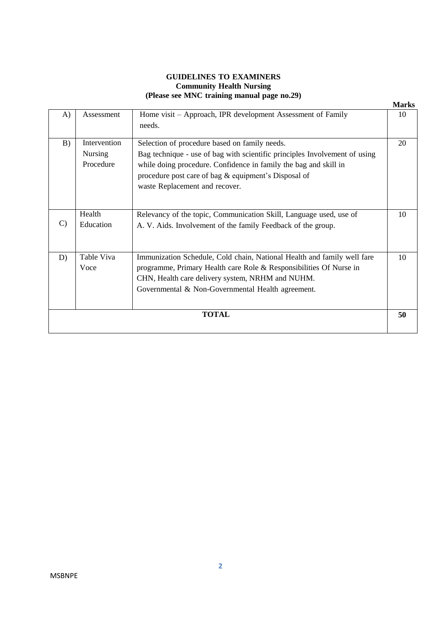#### **GUIDELINES TO EXAMINERS Community Health Nursing (Please see MNC training manual page no.29)**

|    |                                             |                                                                                                                                                                                                                                                                                           | <b>Marks</b> |
|----|---------------------------------------------|-------------------------------------------------------------------------------------------------------------------------------------------------------------------------------------------------------------------------------------------------------------------------------------------|--------------|
| A) | Assessment                                  | Home visit – Approach, IPR development Assessment of Family<br>needs.                                                                                                                                                                                                                     | 10           |
| B) | Intervention<br><b>Nursing</b><br>Procedure | Selection of procedure based on family needs.<br>Bag technique - use of bag with scientific principles Involvement of using<br>while doing procedure. Confidence in family the bag and skill in<br>procedure post care of bag & equipment's Disposal of<br>waste Replacement and recover. | 20           |
| C) | Health<br>Education                         | Relevancy of the topic, Communication Skill, Language used, use of<br>A. V. Aids. Involvement of the family Feedback of the group.                                                                                                                                                        | 10           |
| D) | Table Viva<br>Voce                          | Immunization Schedule, Cold chain, National Health and family well fare<br>programme, Primary Health care Role & Responsibilities Of Nurse in<br>CHN, Health care delivery system, NRHM and NUHM.<br>Governmental & Non-Governmental Health agreement.                                    | 10           |
|    |                                             | <b>TOTAL</b>                                                                                                                                                                                                                                                                              | 50           |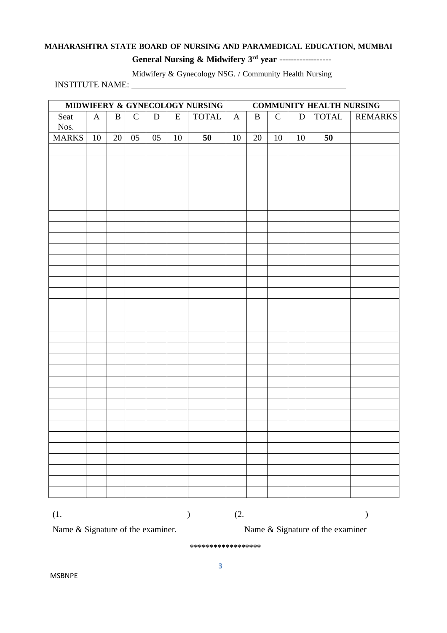### **MAHARASHTRA STATE BOARD OF NURSING AND PARAMEDICAL EDUCATION, MUMBAI General Nursing & Midwifery 3 rd year** ------------------

Midwifery & Gynecology NSG. / Community Health Nursing

INSTITUTE NAME:

|                                 |              |          |                                                                       |             |           | MIDWIFERY & GYNECOLOGY NURSING | <b>COMMUNITY HEALTH NURSING</b> |          |              |              |                                 |                |  |  |
|---------------------------------|--------------|----------|-----------------------------------------------------------------------|-------------|-----------|--------------------------------|---------------------------------|----------|--------------|--------------|---------------------------------|----------------|--|--|
| Seat                            | $\mathbf{A}$ | $\bf{B}$ | $\mathsf{C}$                                                          | $\mathbf D$ | ${\bf E}$ | <b>TOTAL</b>                   | $\mathbf{A}$                    | $\bf{B}$ | $\mathsf{C}$ | $\mathbf{D}$ | <b>TOTAL</b>                    | <b>REMARKS</b> |  |  |
| Nos.                            |              |          |                                                                       |             |           |                                |                                 |          |              |              |                                 |                |  |  |
| <b>MARKS</b>                    | 10           | 20       | 05                                                                    | 05          | 10        | 50                             | 10                              | 20       | 10           | 10           | 50                              |                |  |  |
|                                 |              |          |                                                                       |             |           |                                |                                 |          |              |              |                                 |                |  |  |
|                                 |              |          |                                                                       |             |           |                                |                                 |          |              |              |                                 |                |  |  |
|                                 |              |          |                                                                       |             |           |                                |                                 |          |              |              |                                 |                |  |  |
|                                 |              |          |                                                                       |             |           |                                |                                 |          |              |              |                                 |                |  |  |
|                                 |              |          |                                                                       |             |           |                                |                                 |          |              |              |                                 |                |  |  |
|                                 |              |          |                                                                       |             |           |                                |                                 |          |              |              |                                 |                |  |  |
|                                 |              |          |                                                                       |             |           |                                |                                 |          |              |              |                                 |                |  |  |
|                                 |              |          |                                                                       |             |           |                                |                                 |          |              |              |                                 |                |  |  |
|                                 |              |          |                                                                       |             |           |                                |                                 |          |              |              |                                 |                |  |  |
|                                 |              |          |                                                                       |             |           |                                |                                 |          |              |              |                                 |                |  |  |
|                                 |              |          |                                                                       |             |           |                                |                                 |          |              |              |                                 |                |  |  |
|                                 |              |          |                                                                       |             |           |                                |                                 |          |              |              |                                 |                |  |  |
|                                 |              |          |                                                                       |             |           |                                |                                 |          |              |              |                                 |                |  |  |
|                                 |              |          |                                                                       |             |           |                                |                                 |          |              |              |                                 |                |  |  |
|                                 |              |          |                                                                       |             |           |                                |                                 |          |              |              |                                 |                |  |  |
|                                 |              |          |                                                                       |             |           |                                |                                 |          |              |              |                                 |                |  |  |
|                                 |              |          |                                                                       |             |           |                                |                                 |          |              |              |                                 |                |  |  |
|                                 |              |          |                                                                       |             |           |                                |                                 |          |              |              |                                 |                |  |  |
|                                 |              |          |                                                                       |             |           |                                |                                 |          |              |              |                                 |                |  |  |
|                                 |              |          |                                                                       |             |           |                                |                                 |          |              |              |                                 |                |  |  |
|                                 |              |          |                                                                       |             |           |                                |                                 |          |              |              |                                 |                |  |  |
|                                 |              |          |                                                                       |             |           |                                |                                 |          |              |              |                                 |                |  |  |
|                                 |              |          |                                                                       |             |           |                                |                                 |          |              |              |                                 |                |  |  |
|                                 |              |          |                                                                       |             |           |                                |                                 |          |              |              |                                 |                |  |  |
|                                 |              |          |                                                                       |             |           |                                |                                 |          |              |              |                                 |                |  |  |
|                                 |              |          |                                                                       |             |           |                                |                                 |          |              |              |                                 |                |  |  |
|                                 |              |          |                                                                       |             |           |                                |                                 |          |              |              |                                 |                |  |  |
|                                 |              |          |                                                                       |             |           |                                |                                 |          |              |              |                                 |                |  |  |
|                                 |              |          |                                                                       |             |           |                                |                                 |          |              |              |                                 |                |  |  |
|                                 |              |          |                                                                       |             |           |                                |                                 |          |              |              |                                 |                |  |  |
| $(1. \underline{\hspace{2cm}})$ |              |          |                                                                       |             |           |                                |                                 |          |              |              | $(2. \underline{\hspace{2cm}})$ |                |  |  |
|                                 |              |          |                                                                       |             |           |                                |                                 |          |              |              |                                 |                |  |  |
|                                 |              |          | Name & Signature of the examiner.<br>Name & Signature of the examiner |             |           |                                |                                 |          |              |              |                                 |                |  |  |

**\*\*\*\*\*\*\*\*\*\*\*\*\*\*\*\*\*\***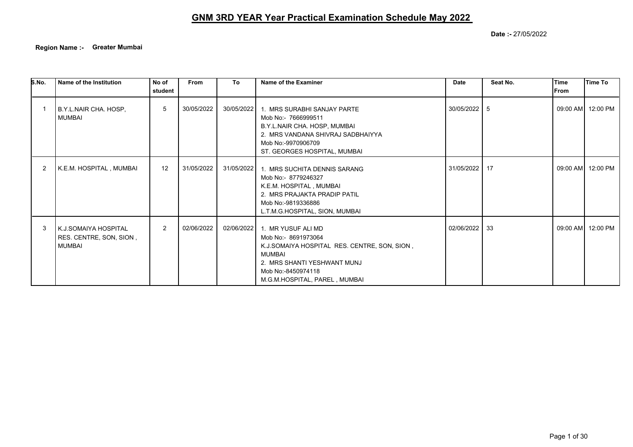**Date :-** 27/05/2022

**Region Name :- Greater Mumbai**

| S.No. | Name of the Institution                                          | No of<br>student | <b>From</b> | To         | Name of the Examiner                                                                                                                                                                      | <b>Date</b>   | Seat No. | <b>Time</b><br><b>IFrom</b> | Time To           |
|-------|------------------------------------------------------------------|------------------|-------------|------------|-------------------------------------------------------------------------------------------------------------------------------------------------------------------------------------------|---------------|----------|-----------------------------|-------------------|
|       | B.Y.L.NAIR CHA. HOSP,<br><b>MUMBAI</b>                           | 5                | 30/05/2022  | 30/05/2022 | 1. MRS SURABHI SANJAY PARTE<br>Mob No:- 7666999511<br>B.Y.L.NAIR CHA. HOSP, MUMBAI<br>2. MRS VANDANA SHIVRAJ SADBHAIYYA<br>Mob No:-9970906709<br>ST. GEORGES HOSPITAL, MUMBAI             | 30/05/2022 5  |          |                             | 09:00 AM 12:00 PM |
| 2     | K.E.M. HOSPITAL , MUMBAI                                         | 12               | 31/05/2022  | 31/05/2022 | 1. MRS SUCHITA DENNIS SARANG<br>Mob No:- 8779246327<br>K.E.M. HOSPITAL, MUMBAI<br>2. MRS PRAJAKTA PRADIP PATIL<br>Mob No:-9819336886<br>L.T.M.G.HOSPITAL, SION, MUMBAI                    | 31/05/2022 17 |          |                             | 09:00 AM 12:00 PM |
| 3     | K.J.SOMAIYA HOSPITAL<br>RES. CENTRE, SON, SION,<br><b>MUMBAI</b> | $\overline{2}$   | 02/06/2022  | 02/06/2022 | 1. MR YUSUF ALI MD<br>Mob No:- 8691973064<br>K.J.SOMAIYA HOSPITAL RES. CENTRE, SON, SION,<br>MUMBAI<br>2. MRS SHANTI YESHWANT MUNJ<br>Mob No:-8450974118<br>M.G.M.HOSPITAL, PAREL, MUMBAI | 02/06/2022    | 33       |                             | 09:00 AM 12:00 PM |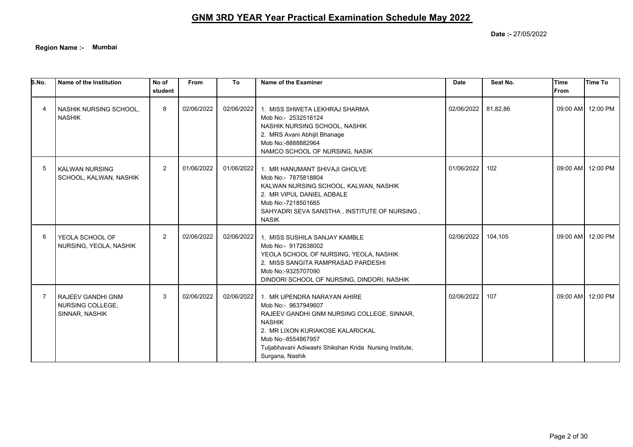**Region Name :- Mumbai**

| S.No. | Name of the Institution                                        | No of<br>student | From       | To         | Name of the Examiner                                                                                                                                                                                                                                      | <b>Date</b> | Seat No. | <b>Time</b><br><b>IFrom</b> | <b>Time To</b>    |
|-------|----------------------------------------------------------------|------------------|------------|------------|-----------------------------------------------------------------------------------------------------------------------------------------------------------------------------------------------------------------------------------------------------------|-------------|----------|-----------------------------|-------------------|
|       | NASHIK NURSING SCHOOL,<br><b>NASHIK</b>                        | 8                | 02/06/2022 | 02/06/2022 | 1. MISS SHWETA LEKHRAJ SHARMA<br>Mob No:- 2532516124<br>NASHIK NURSING SCHOOL, NASHIK<br>2. MRS Avani Abhijit Bhanage<br>Mob No:-8888882964<br>NAMCO SCHOOL OF NURSING, NASIK                                                                             | 02/06/2022  | 81,82,86 |                             | 09:00 AM 12:00 PM |
| 5     | <b>KALWAN NURSING</b><br>SCHOOL, KALWAN, NASHIK                | $\overline{2}$   | 01/06/2022 | 01/06/2022 | 1. MR HANUMANT SHIVAJI GHOLVE<br>Mob No:- 7875818804<br>KALWAN NURSING SCHOOL, KALWAN, NASHIK<br>2. MR VIPUL DANIEL ADBALE<br>Mob No:-7218501665<br>SAHYADRI SEVA SANSTHA, INSTITUTE OF NURSING,<br><b>NASIK</b>                                          | 01/06/2022  | 102      |                             | 09:00 AM 12:00 PM |
| 6     | YEOLA SCHOOL OF<br>NURSING, YEOLA, NASHIK                      | 2                | 02/06/2022 | 02/06/2022 | 1. MISS SUSHILA SANJAY KAMBLE<br>Mob No:- 9172638002<br>YEOLA SCHOOL OF NURSING, YEOLA, NASHIK<br>2. MISS SANGITA RAMPRASAD PARDESHI<br>Mob No:-9325707090<br>DINDORI SCHOOL OF NURSING, DINDORI, NASHIK                                                  | 02/06/2022  | 104,105  |                             | 09:00 AM 12:00 PM |
|       | <b>RAJEEV GANDHI GNM</b><br>NURSING COLLEGE,<br>SINNAR, NASHIK | 3                | 02/06/2022 | 02/06/2022 | 1. MR UPENDRA NARAYAN AHIRE<br>Mob No:- 9637949607<br>RAJEEV GANDHI GNM NURSING COLLEGE, SINNAR,<br><b>NASHIK</b><br>2. MR LIXON KURIAKOSE KALARICKAL<br>Mob No:-8554867957<br>Tuljabhavani Adiwashi Shikshan Krida Nursing Institute,<br>Surgana, Nashik | 02/06/2022  | 107      |                             | 09:00 AM 12:00 PM |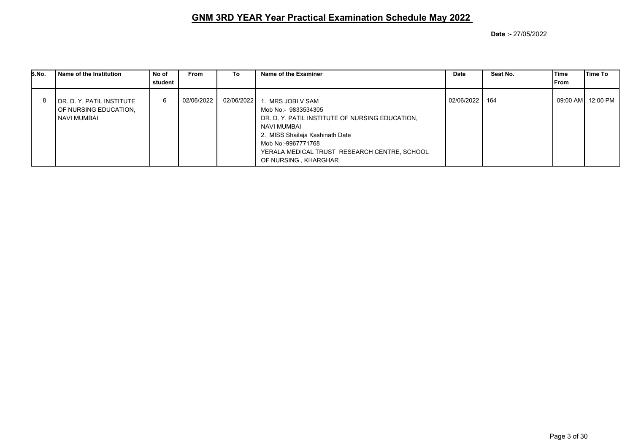| S.No. | l Name of the Institution                                             | No of<br>student | From       | To         | Name of the Examiner                                                                                                                                                                                                                       | <b>Date</b> | Seat No. | lTime<br>From | lTime To |
|-------|-----------------------------------------------------------------------|------------------|------------|------------|--------------------------------------------------------------------------------------------------------------------------------------------------------------------------------------------------------------------------------------------|-------------|----------|---------------|----------|
|       | l DR. D. Y. PATIL INSTITUTE<br>OF NURSING EDUCATION,<br>I NAVI MUMBAI | 6                | 02/06/2022 | 02/06/2022 | . MRS JOBI V SAM<br>Mob No:- 9833534305<br>DR. D. Y. PATIL INSTITUTE OF NURSING EDUCATION.<br>NAVI MUMBAI<br>2. MISS Shailaja Kashinath Date<br>Mob No:-9967771768<br>YERALA MEDICAL TRUST RESEARCH CENTRE, SCHOOL<br>OF NURSING, KHARGHAR | 02/06/2022  | 164      |               |          |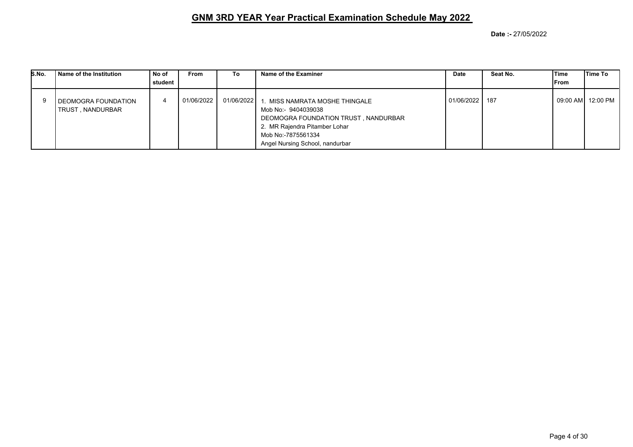| S.No. | Name of the Institution                  | No of<br>student | <b>From</b> | To         | Name of the Examiner                                                                                                                                                                   | Date       | Seat No. | Time<br>lFrom | lTime To            |
|-------|------------------------------------------|------------------|-------------|------------|----------------------------------------------------------------------------------------------------------------------------------------------------------------------------------------|------------|----------|---------------|---------------------|
|       | DEOMOGRA FOUNDATION<br>TRUST , NANDURBAR |                  | 01/06/2022  | 01/06/2022 | . MISS NAMRATA MOSHE THINGALE<br>Mob No:- 9404039038<br>DEOMOGRA FOUNDATION TRUST, NANDURBAR<br>2. MR Rajendra Pitamber Lohar<br>Mob No:-7875561334<br>Angel Nursing School, nandurbar | 01/06/2022 | - 187    |               | 09:00 AM   12:00 PM |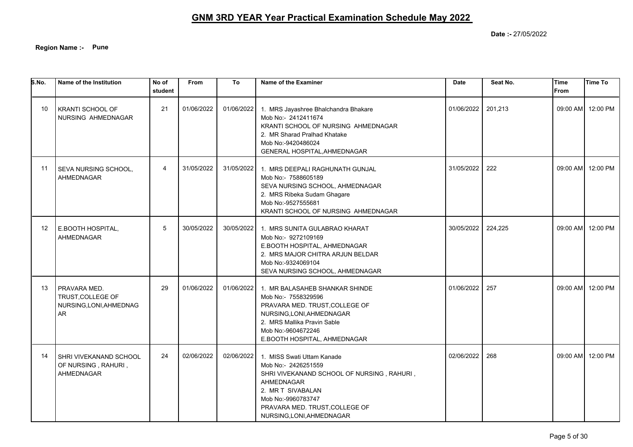**Region Name :- Pune**

| S.No. | Name of the Institution                                                   | No of<br>student | From       | To         | Name of the Examiner                                                                                                                                                                                                    | <b>Date</b> | Seat No. | Time<br><b>From</b> | Time To           |
|-------|---------------------------------------------------------------------------|------------------|------------|------------|-------------------------------------------------------------------------------------------------------------------------------------------------------------------------------------------------------------------------|-------------|----------|---------------------|-------------------|
| 10    | <b>KRANTI SCHOOL OF</b><br>NURSING AHMEDNAGAR                             | 21               | 01/06/2022 | 01/06/2022 | 1. MRS Jayashree Bhalchandra Bhakare<br>Mob No:- 2412411674<br>KRANTI SCHOOL OF NURSING AHMEDNAGAR<br>2. MR Sharad Pralhad Khatake<br>Mob No:-9420486024<br>GENERAL HOSPITAL, AHMEDNAGAR                                | 01/06/2022  | 201,213  |                     | 09:00 AM 12:00 PM |
| 11    | SEVA NURSING SCHOOL,<br><b>AHMEDNAGAR</b>                                 | 4                | 31/05/2022 | 31/05/2022 | 1. MRS DEEPALI RAGHUNATH GUNJAL<br>Mob No:- 7588605189<br>SEVA NURSING SCHOOL, AHMEDNAGAR<br>2. MRS Ribeka Sudam Ghagare<br>Mob No:-9527555681<br>KRANTI SCHOOL OF NURSING AHMEDNAGAR                                   | 31/05/2022  | 222      |                     | 09:00 AM 12:00 PM |
| 12    | E.BOOTH HOSPITAL,<br>AHMEDNAGAR                                           | 5                | 30/05/2022 | 30/05/2022 | 1. MRS SUNITA GULABRAO KHARAT<br>Mob No:- 9272109169<br>E.BOOTH HOSPITAL, AHMEDNAGAR<br>2. MRS MAJOR CHITRA ARJUN BELDAR<br>Mob No:-9324069104<br>SEVA NURSING SCHOOL, AHMEDNAGAR                                       | 30/05/2022  | 224,225  |                     | 09:00 AM 12:00 PM |
| 13    | PRAVARA MED.<br>TRUST, COLLEGE OF<br>NURSING, LONI, AHMEDNAG<br><b>AR</b> | 29               | 01/06/2022 | 01/06/2022 | 1. MR BALASAHEB SHANKAR SHINDE<br>Mob No:- 7558329596<br>PRAVARA MED. TRUST, COLLEGE OF<br>NURSING, LONI, AHMEDNAGAR<br>2. MRS Mallika Pravin Sable<br>Mob No:-9604672246<br>E.BOOTH HOSPITAL, AHMEDNAGAR               | 01/06/2022  | 257      |                     | 09:00 AM 12:00 PM |
| 14    | SHRI VIVEKANAND SCHOOL<br>OF NURSING, RAHURI,<br>AHMEDNAGAR               | 24               | 02/06/2022 | 02/06/2022 | 1. MISS Swati Uttam Kanade<br>Mob No:- 2426251559<br>SHRI VIVEKANAND SCHOOL OF NURSING, RAHURI,<br>AHMEDNAGAR<br>2. MR T SIVABALAN<br>Mob No:-9960783747<br>PRAVARA MED. TRUST, COLLEGE OF<br>NURSING, LONI, AHMEDNAGAR | 02/06/2022  | 268      |                     | 09:00 AM 12:00 PM |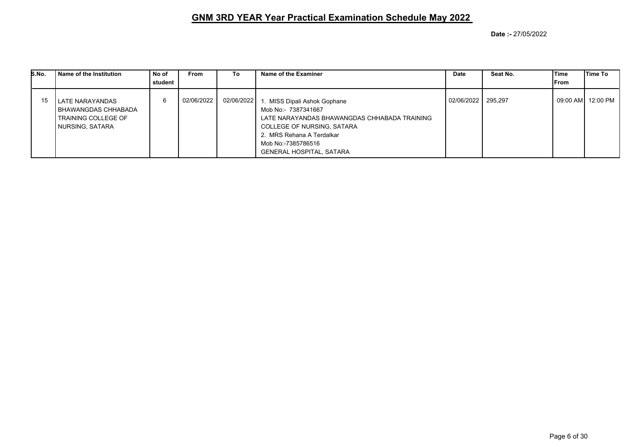| S.No. | Name of the Institution                                                          | No of<br>student | <b>From</b> | To         | Name of the Examiner                                                                                                                                                                                                           | <b>Date</b>        | Seat No. | Time<br>From | Time To  |
|-------|----------------------------------------------------------------------------------|------------------|-------------|------------|--------------------------------------------------------------------------------------------------------------------------------------------------------------------------------------------------------------------------------|--------------------|----------|--------------|----------|
| 15    | LATE NARAYANDAS<br>BHAWANGDAS CHHABADA<br>TRAINING COLLEGE OF<br>NURSING, SATARA | 6                | 02/06/2022  | 02/06/2022 | 1. MISS Dipali Ashok Gophane<br>Mob No:- 7387341667<br>LATE NARAYANDAS BHAWANGDAS CHHABADA TRAINING<br><b>COLLEGE OF NURSING, SATARA</b><br>2. MRS Rehana A Terdalkar<br>Mob No:-7385786516<br><b>GENERAL HOSPITAL, SATARA</b> | 02/06/2022 295,297 |          | 09:00 AM     | 12:00 PM |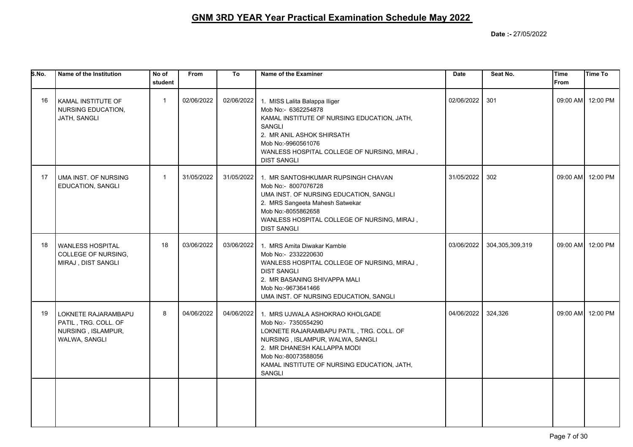| S.No. | Name of the Institution                                                            | No of<br>student | <b>From</b> | To         | Name of the Examiner                                                                                                                                                                                                                                  | <b>Date</b> | Seat No.        | <b>Time</b><br><b>From</b> | <b>Time To</b>    |
|-------|------------------------------------------------------------------------------------|------------------|-------------|------------|-------------------------------------------------------------------------------------------------------------------------------------------------------------------------------------------------------------------------------------------------------|-------------|-----------------|----------------------------|-------------------|
| 16    | KAMAL INSTITUTE OF<br>NURSING EDUCATION,<br>JATH, SANGLI                           | $\mathbf{1}$     | 02/06/2022  | 02/06/2022 | 1. MISS Lalita Balappa Iliger<br>Mob No:- 6362254878<br>KAMAL INSTITUTE OF NURSING EDUCATION, JATH,<br>SANGLI<br>2. MR ANIL ASHOK SHIRSATH<br>Mob No:-9960561076<br>WANLESS HOSPITAL COLLEGE OF NURSING, MIRAJ,<br><b>DIST SANGLI</b>                 | 02/06/2022  | 301             |                            | 09:00 AM 12:00 PM |
| 17    | UMA INST. OF NURSING<br>EDUCATION, SANGLI                                          | $\mathbf{1}$     | 31/05/2022  |            | 31/05/2022 1. MR SANTOSHKUMAR RUPSINGH CHAVAN<br>Mob No:- 8007076728<br>UMA INST. OF NURSING EDUCATION, SANGLI<br>2. MRS Sangeeta Mahesh Satwekar<br>Mob No:-8055862658<br>WANLESS HOSPITAL COLLEGE OF NURSING, MIRAJ,<br><b>DIST SANGLI</b>          | 31/05/2022  | 302             |                            | 09:00 AM 12:00 PM |
| 18    | <b>WANLESS HOSPITAL</b><br>COLLEGE OF NURSING,<br>MIRAJ, DIST SANGLI               | 18               | 03/06/2022  | 03/06/2022 | 1. MRS Amita Diwakar Kamble<br>Mob No:- 2332220630<br>WANLESS HOSPITAL COLLEGE OF NURSING, MIRAJ,<br><b>DIST SANGLI</b><br>2. MR BASANING SHIVAPPA MALI<br>Mob No:-9673641466<br>UMA INST. OF NURSING EDUCATION, SANGLI                               | 03/06/2022  | 304,305,309,319 |                            | 09:00 AM 12:00 PM |
| 19    | LOKNETE RAJARAMBAPU<br>PATIL, TRG. COLL. OF<br>NURSING, ISLAMPUR,<br>WALWA, SANGLI | 8                | 04/06/2022  | 04/06/2022 | 1. MRS UJWALA ASHOKRAO KHOLGADE<br>Mob No:- 7350554290<br>LOKNETE RAJARAMBAPU PATIL, TRG. COLL. OF<br>NURSING, ISLAMPUR, WALWA, SANGLI<br>2. MR DHANESH KALLAPPA MODI<br>Mob No:-80073588056<br>KAMAL INSTITUTE OF NURSING EDUCATION, JATH,<br>SANGLI | 04/06/2022  | 324,326         |                            | 09:00 AM 12:00 PM |
|       |                                                                                    |                  |             |            |                                                                                                                                                                                                                                                       |             |                 |                            |                   |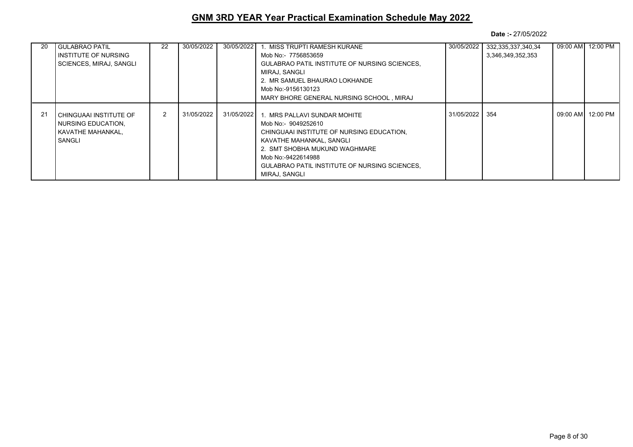| 20 | <b>GULABRAO PATIL</b>   | 22 | 30/05/2022 | 30/05/2022 | 1. MISS TRUPTI RAMESH KURANE                         | 30/05/2022 | 332,335,337,340,34 | 09:00 AM 12:00 PM |
|----|-------------------------|----|------------|------------|------------------------------------------------------|------------|--------------------|-------------------|
|    | INSTITUTE OF NURSING    |    |            |            | Mob No:- 7756853659                                  |            | 3,346,349,352,353  |                   |
|    | SCIENCES, MIRAJ, SANGLI |    |            |            | <b>GULABRAO PATIL INSTITUTE OF NURSING SCIENCES.</b> |            |                    |                   |
|    |                         |    |            |            | MIRAJ. SANGLI                                        |            |                    |                   |
|    |                         |    |            |            | 2. MR SAMUEL BHAURAO LOKHANDE                        |            |                    |                   |
|    |                         |    |            |            | Mob No:-9156130123                                   |            |                    |                   |
|    |                         |    |            |            | MARY BHORE GENERAL NURSING SCHOOL, MIRAJ             |            |                    |                   |
|    |                         |    |            |            |                                                      |            |                    |                   |
| 21 | CHINGUAAI INSTITUTE OF  | 2  | 31/05/2022 | 31/05/2022 | 1. MRS PALLAVI SUNDAR MOHITE                         | 31/05/2022 | 354                | 09:00 AM 12:00 PM |
|    | NURSING EDUCATION,      |    |            |            | Mob No:- 9049252610                                  |            |                    |                   |
|    | KAVATHE MAHANKAL,       |    |            |            | CHINGUAAI INSTITUTE OF NURSING EDUCATION.            |            |                    |                   |
|    | SANGLI                  |    |            |            | KAVATHE MAHANKAL, SANGLI                             |            |                    |                   |
|    |                         |    |            |            | 2. SMT SHOBHA MUKUND WAGHMARE                        |            |                    |                   |
|    |                         |    |            |            | Mob No:-9422614988                                   |            |                    |                   |
|    |                         |    |            |            | <b>GULABRAO PATIL INSTITUTE OF NURSING SCIENCES.</b> |            |                    |                   |
|    |                         |    |            |            | MIRAJ. SANGLI                                        |            |                    |                   |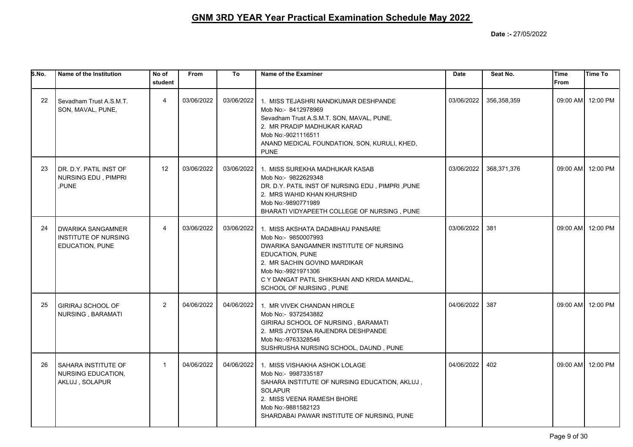| S.No. | Name of the Institution                                                    | No of<br>student | <b>From</b> | To         | Name of the Examiner                                                                                                                                                                                                                                 | <b>Date</b> | Seat No.    | Time<br><b>From</b> | <b>Time To</b>    |
|-------|----------------------------------------------------------------------------|------------------|-------------|------------|------------------------------------------------------------------------------------------------------------------------------------------------------------------------------------------------------------------------------------------------------|-------------|-------------|---------------------|-------------------|
| 22    | Sevadham Trust A.S.M.T.<br>SON, MAVAL, PUNE,                               | $\overline{4}$   | 03/06/2022  | 03/06/2022 | 1. MISS TEJASHRI NANDKUMAR DESHPANDE<br>Mob No:- 8412978969<br>Sevadham Trust A.S.M.T. SON, MAVAL, PUNE,<br>2. MR PRADIP MADHUKAR KARAD<br>Mob No:-9021116511<br>ANAND MEDICAL FOUNDATION, SON, KURULI, KHED,<br><b>PUNE</b>                         | 03/06/2022  | 356,358,359 |                     | 09:00 AM 12:00 PM |
| 23    | DR. D.Y. PATIL INST OF<br>NURSING EDU, PIMPRI<br>PUNE                      | 12               | 03/06/2022  | 03/06/2022 | 1. MISS SUREKHA MADHUKAR KASAB<br>Mob No:- 9822629348<br>DR. D.Y. PATIL INST OF NURSING EDU, PIMPRI, PUNE<br>2. MRS WAHID KHAN KHURSHID<br>Mob No:-9890771989<br>BHARATI VIDYAPEETH COLLEGE OF NURSING, PUNE                                         | 03/06/2022  | 368,371,376 |                     | 09:00 AM 12:00 PM |
| 24    | <b>DWARIKA SANGAMNER</b><br><b>INSTITUTE OF NURSING</b><br>EDUCATION, PUNE | $\overline{4}$   | 03/06/2022  | 03/06/2022 | 1. MISS AKSHATA DADABHAU PANSARE<br>Mob No:- 9850007993<br>DWARIKA SANGAMNER INSTITUTE OF NURSING<br>EDUCATION, PUNE<br>2. MR SACHIN GOVIND MARDIKAR<br>Mob No:-9921971306<br>C Y DANGAT PATIL SHIKSHAN AND KRIDA MANDAL,<br>SCHOOL OF NURSING, PUNE | 03/06/2022  | 381         |                     | 09:00 AM 12:00 PM |
| 25    | <b>GIRIRAJ SCHOOL OF</b><br>NURSING, BARAMATI                              | 2                | 04/06/2022  | 04/06/2022 | 1. MR VIVEK CHANDAN HIROLE<br>Mob No:- 9372543882<br>GIRIRAJ SCHOOL OF NURSING, BARAMATI<br>2. MRS JYOTSNA RAJENDRA DESHPANDE<br>Mob No:-9763328546<br>SUSHRUSHA NURSING SCHOOL, DAUND, PUNE                                                         | 04/06/2022  | 387         |                     | 09:00 AM 12:00 PM |
| 26    | <b>SAHARA INSTITUTE OF</b><br><b>NURSING EDUCATION,</b><br>AKLUJ, SOLAPUR  | $\mathbf{1}$     | 04/06/2022  | 04/06/2022 | 1. MISS VISHAKHA ASHOK LOLAGE<br>Mob No:- 9987335187<br>SAHARA INSTITUTE OF NURSING EDUCATION, AKLUJ,<br><b>SOLAPUR</b><br>2. MISS VEENA RAMESH BHORE<br>Mob No:-9881582123<br>SHARDABAI PAWAR INSTITUTE OF NURSING, PUNE                            | 04/06/2022  | 402         |                     | 09:00 AM 12:00 PM |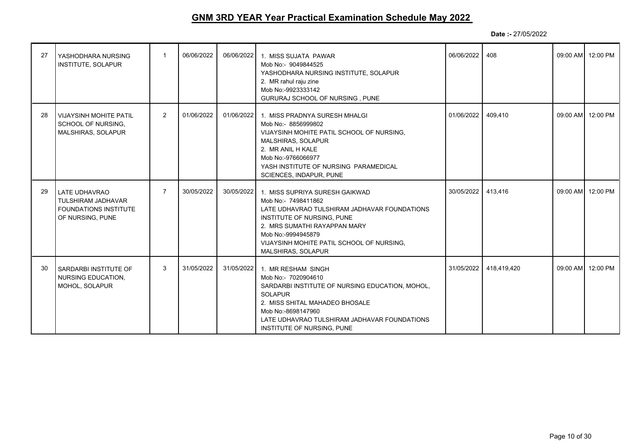| 27 | YASHODHARA NURSING<br>INSTITUTE, SOLAPUR                                                              | $\mathbf{1}$   | 06/06/2022 | 06/06/2022 | 1. MISS SUJATA PAWAR<br>Mob No:- 9049844525<br>YASHODHARA NURSING INSTITUTE, SOLAPUR<br>2. MR rahul raju zine<br>Mob No:-9923333142<br>GURURAJ SCHOOL OF NURSING, PUNE                                                                                       | 06/06/2022 | 408         | 09:00 AM 12:00 PM |
|----|-------------------------------------------------------------------------------------------------------|----------------|------------|------------|--------------------------------------------------------------------------------------------------------------------------------------------------------------------------------------------------------------------------------------------------------------|------------|-------------|-------------------|
| 28 | <b>VIJAYSINH MOHITE PATIL</b><br>SCHOOL OF NURSING.<br><b>MALSHIRAS, SOLAPUR</b>                      | $\overline{2}$ | 01/06/2022 | 01/06/2022 | 1. MISS PRADNYA SURESH MHALGI<br>Mob No:- 8856999802<br>VIJAYSINH MOHITE PATIL SCHOOL OF NURSING.<br><b>MALSHIRAS, SOLAPUR</b><br>2. MR ANIL H KALE<br>Mob No:-9766066977<br>YASH INSTITUTE OF NURSING PARAMEDICAL<br>SCIENCES, INDAPUR, PUNE                | 01/06/2022 | 409,410     | 09:00 AM 12:00 PM |
| 29 | <b>LATE UDHAVRAO</b><br><b>TULSHIRAM JADHAVAR</b><br><b>FOUNDATIONS INSTITUTE</b><br>OF NURSING, PUNE | $\overline{7}$ | 30/05/2022 | 30/05/2022 | 1. MISS SUPRIYA SURESH GAIKWAD<br>Mob No:- 7498411862<br>LATE UDHAVRAO TULSHIRAM JADHAVAR FOUNDATIONS<br>INSTITUTE OF NURSING, PUNE<br>2. MRS SUMATHI RAYAPPAN MARY<br>Mob No:-9994945879<br>VIJAYSINH MOHITE PATIL SCHOOL OF NURSING.<br>MALSHIRAS, SOLAPUR | 30/05/2022 | 413,416     | 09:00 AM 12:00 PM |
| 30 | SARDARBI INSTITUTE OF<br><b>NURSING EDUCATION.</b><br>MOHOL, SOLAPUR                                  | 3              | 31/05/2022 | 31/05/2022 | 1. MR RESHAM SINGH<br>Mob No:- 7020904610<br>SARDARBI INSTITUTE OF NURSING EDUCATION, MOHOL,<br><b>SOLAPUR</b><br>2. MISS SHITAL MAHADEO BHOSALE<br>Mob No:-8698147960<br>LATE UDHAVRAO TULSHIRAM JADHAVAR FOUNDATIONS<br>INSTITUTE OF NURSING, PUNE         | 31/05/2022 | 418,419,420 | 09:00 AM 12:00 PM |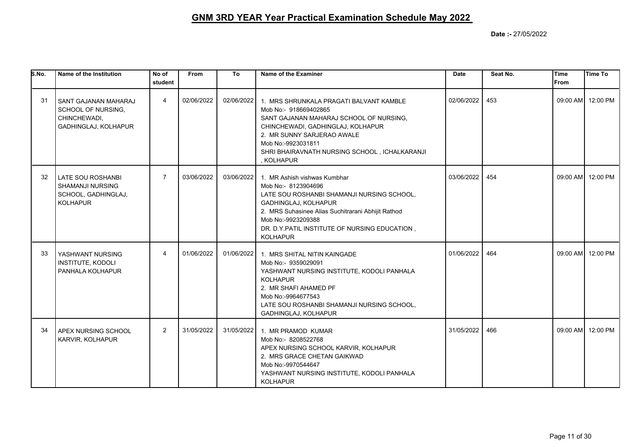| S.No. | Name of the Institution                                                                | No of<br>student | From       | To         | Name of the Examiner                                                                                                                                                                                                                                                      | Date       | Seat No. | <b>Time</b><br><b>From</b> | <b>Time To</b>    |
|-------|----------------------------------------------------------------------------------------|------------------|------------|------------|---------------------------------------------------------------------------------------------------------------------------------------------------------------------------------------------------------------------------------------------------------------------------|------------|----------|----------------------------|-------------------|
| 31    | SANT GAJANAN MAHARAJ<br>SCHOOL OF NURSING,<br>CHINCHEWADI,<br>GADHINGLAJ, KOLHAPUR     | $\overline{4}$   | 02/06/2022 | 02/06/2022 | 1. MRS SHRUNKALA PRAGATI BALVANT KAMBLE<br>Mob No:- 918669402865<br>SANT GAJANAN MAHARAJ SCHOOL OF NURSING,<br>CHINCHEWADI, GADHINGLAJ, KOLHAPUR<br>2. MR SUNNY SARJERAO AWALE<br>Mob No:-9923031811<br>SHRI BHAIRAVNATH NURSING SCHOOL, ICHALKARANJI<br>, KOLHAPUR       | 02/06/2022 | 453      |                            | 09:00 AM 12:00 PM |
| 32    | <b>LATE SOU ROSHANBI</b><br>SHAMANJI NURSING<br>SCHOOL, GADHINGLAJ,<br><b>KOLHAPUR</b> | $\overline{7}$   | 03/06/2022 | 03/06/2022 | 1. MR Ashish vishwas Kumbhar<br>Mob No:- 8123904696<br>LATE SOU ROSHANBI SHAMANJI NURSING SCHOOL,<br>GADHINGLAJ, KOLHAPUR<br>2. MRS Suhasinee Alias Suchitrarani Abhijit Rathod<br>Mob No:-9923209388<br>DR. D.Y.PATIL INSTITUTE OF NURSING EDUCATION,<br><b>KOLHAPUR</b> | 03/06/2022 | 454      |                            | 09:00 AM 12:00 PM |
| 33    | YASHWANT NURSING<br><b>INSTITUTE, KODOLI</b><br>PANHALA KOLHAPUR                       | $\overline{4}$   | 01/06/2022 | 01/06/2022 | 1. MRS SHITAL NITIN KAINGADE<br>Mob No:- 9359029091<br>YASHWANT NURSING INSTITUTE, KODOLI PANHALA<br><b>KOLHAPUR</b><br>2. MR SHAFI AHAMED PF<br>Mob No:-9964677543<br>LATE SOU ROSHANBI SHAMANJI NURSING SCHOOL,<br>GADHINGLAJ, KOLHAPUR                                 | 01/06/2022 | 464      |                            | 09:00 AM 12:00 PM |
| 34    | APEX NURSING SCHOOL<br>KARVIR, KOLHAPUR                                                | $\overline{2}$   | 31/05/2022 | 31/05/2022 | 1. MR PRAMOD KUMAR<br>Mob No:- 8208522768<br>APEX NURSING SCHOOL KARVIR, KOLHAPUR<br>2. MRS GRACE CHETAN GAIKWAD<br>Mob No:-9970544647<br>YASHWANT NURSING INSTITUTE, KODOLI PANHALA<br><b>KOLHAPUR</b>                                                                   | 31/05/2022 | 466      |                            | 09:00 AM 12:00 PM |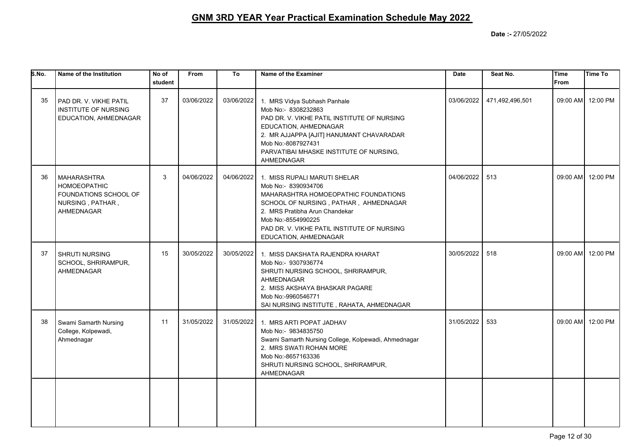| S.No. | Name of the Institution                                                                              | No of<br>student | <b>From</b> | To         | Name of the Examiner                                                                                                                                                                                                                                                            | <b>Date</b> | Seat No.        | Time<br>From | Time To           |
|-------|------------------------------------------------------------------------------------------------------|------------------|-------------|------------|---------------------------------------------------------------------------------------------------------------------------------------------------------------------------------------------------------------------------------------------------------------------------------|-------------|-----------------|--------------|-------------------|
| 35    | PAD DR. V. VIKHE PATIL<br>INSTITUTE OF NURSING<br>EDUCATION, AHMEDNAGAR                              | 37               | 03/06/2022  | 03/06/2022 | 1. MRS Vidya Subhash Panhale<br>Mob No:- 8308232863<br>PAD DR. V. VIKHE PATIL INSTITUTE OF NURSING<br>EDUCATION, AHMEDNAGAR<br>2. MR AJJAPPA [AJIT] HANUMANT CHAVARADAR<br>Mob No:-8087927431<br>PARVATIBAI MHASKE INSTITUTE OF NURSING,<br>AHMEDNAGAR                          | 03/06/2022  | 471,492,496,501 |              | 09:00 AM 12:00 PM |
| 36    | <b>MAHARASHTRA</b><br><b>HOMOEOPATHIC</b><br>FOUNDATIONS SCHOOL OF<br>NURSING, PATHAR,<br>AHMEDNAGAR | 3                | 04/06/2022  |            | 04/06/2022 1. MISS RUPALI MARUTI SHELAR<br>Mob No:- 8390934706<br>MAHARASHTRA HOMOEOPATHIC FOUNDATIONS<br>SCHOOL OF NURSING, PATHAR, AHMEDNAGAR<br>2. MRS Pratibha Arun Chandekar<br>Mob No:-8554990225<br>PAD DR. V. VIKHE PATIL INSTITUTE OF NURSING<br>EDUCATION, AHMEDNAGAR | 04/06/2022  | 513             |              | 09:00 AM 12:00 PM |
| 37    | <b>SHRUTI NURSING</b><br>SCHOOL, SHRIRAMPUR,<br>AHMEDNAGAR                                           | 15               | 30/05/2022  | 30/05/2022 | 1. MISS DAKSHATA RAJENDRA KHARAT<br>Mob No:- 9307936774<br>SHRUTI NURSING SCHOOL, SHRIRAMPUR,<br>AHMEDNAGAR<br>2. MISS AKSHAYA BHASKAR PAGARE<br>Mob No:-9960546771<br>SAI NURSING INSTITUTE, RAHATA, AHMEDNAGAR                                                                | 30/05/2022  | 518             |              | 09:00 AM 12:00 PM |
| 38    | Swami Samarth Nursing<br>College, Kolpewadi,<br>Ahmednagar                                           | 11               | 31/05/2022  | 31/05/2022 | 1. MRS ARTI POPAT JADHAV<br>Mob No:- 9834835750<br>Swami Samarth Nursing College, Kolpewadi, Ahmednagar<br>2. MRS SWATI ROHAN MORE<br>Mob No:-8657163336<br>SHRUTI NURSING SCHOOL, SHRIRAMPUR,<br>AHMEDNAGAR                                                                    | 31/05/2022  | 533             |              | 09:00 AM 12:00 PM |
|       |                                                                                                      |                  |             |            |                                                                                                                                                                                                                                                                                 |             |                 |              |                   |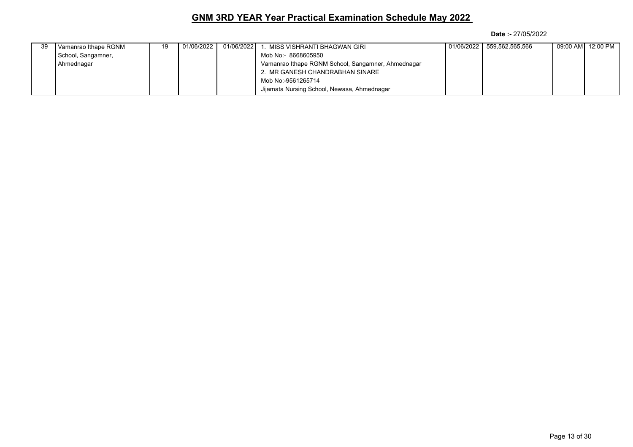| 39 | Vamanrao Ithape RGNM | 19 | 01/06/2022 1 | 01/06/2022 1 | MISS VISHRANTI BHAGWAN GIRI                        | 01/06/2022 | 559,562,565,566 | 09:00 AM  12:00 PM |
|----|----------------------|----|--------------|--------------|----------------------------------------------------|------------|-----------------|--------------------|
|    | School, Sangamner,   |    |              |              | Mob No:- 8668605950                                |            |                 |                    |
|    | Ahmednagar           |    |              |              | Vamanrao Ithape RGNM School, Sangamner, Ahmednagar |            |                 |                    |
|    |                      |    |              |              | 2. MR GANESH CHANDRABHAN SINARE                    |            |                 |                    |
|    |                      |    |              |              | Mob No:-9561265714                                 |            |                 |                    |
|    |                      |    |              |              | Jijamata Nursing School, Newasa, Ahmednagar        |            |                 |                    |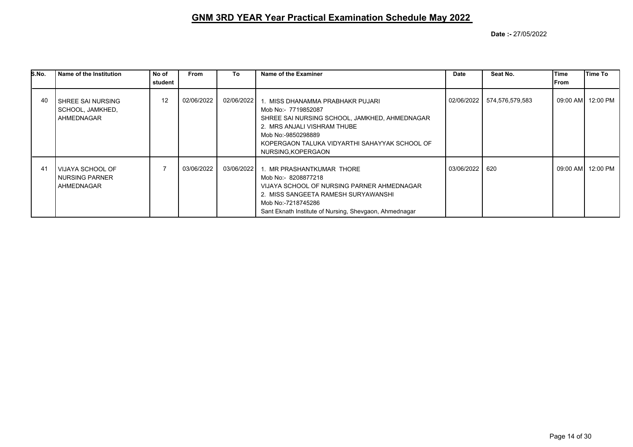| S.No. | l Name of the Institution                                 | No of   | From       | To         | Name of the Examiner                                                                                                                                                                                                                 | <b>Date</b> | Seat No.        | Time | Time To            |
|-------|-----------------------------------------------------------|---------|------------|------------|--------------------------------------------------------------------------------------------------------------------------------------------------------------------------------------------------------------------------------------|-------------|-----------------|------|--------------------|
|       |                                                           | student |            |            |                                                                                                                                                                                                                                      |             |                 | From |                    |
| 40    | I SHREE SAI NURSING<br>SCHOOL, JAMKHED,<br>AHMEDNAGAR     | 12      | 02/06/2022 | 02/06/2022 | 1. MISS DHANAMMA PRABHAKR PUJARI<br>Mob No:- 7719852087<br>SHREE SAI NURSING SCHOOL, JAMKHED, AHMEDNAGAR<br>2. MRS ANJALI VISHRAM THUBE<br>Mob No:-9850298889<br>KOPERGAON TALUKA VIDYARTHI SAHAYYAK SCHOOL OF<br>NURSING, KOPERGAON | 02/06/2022  | 574,576,579,583 |      | 09:00 AM  12:00 PM |
| 41    | l VIJAYA SCHOOL OF<br><b>NURSING PARNER</b><br>AHMEDNAGAR |         | 03/06/2022 | 03/06/2022 | 1. MR PRASHANTKUMAR THORE<br>Mob No:- 8208877218<br>VIJAYA SCHOOL OF NURSING PARNER AHMEDNAGAR<br>2. MISS SANGEETA RAMESH SURYAWANSHI<br>Mob No:-7218745286<br>Sant Eknath Institute of Nursing, Shevgaon, Ahmednagar                | 03/06/2022  | 620             |      | 09:00 AM  12:00 PM |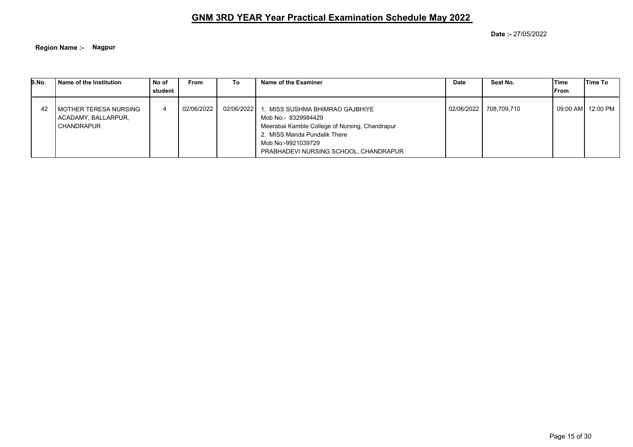**Date :-** 27/05/2022

**Region Name :- Nagpur**

| S.No. | Name of the Institution                                      | No of<br>student | <b>From</b> | Τo           | Name of the Examiner                                                                                                                                                                                 | Date       | Seat No.    | Time<br>From | Time To            |
|-------|--------------------------------------------------------------|------------------|-------------|--------------|------------------------------------------------------------------------------------------------------------------------------------------------------------------------------------------------------|------------|-------------|--------------|--------------------|
| -42   | l MOTHER TERESA NURSING<br>ACADAMY, BALLARPUR,<br>CHANDRAPUR |                  | 02/06/2022  | 02/06/2022 1 | MISS SUSHMA BHIMRAO GAJBHIYE<br>Mob No:- 8329984429<br>Meerabai Kamble College of Nursing, Chandrapur<br>2. MISS Manda Pundalik There<br>Mob No:-9921039729<br>PRABHADEVI NURSING SCHOOL, CHANDRAPUR | 02/06/2022 | 708,709,710 |              | 09:00 AMI 12:00 PM |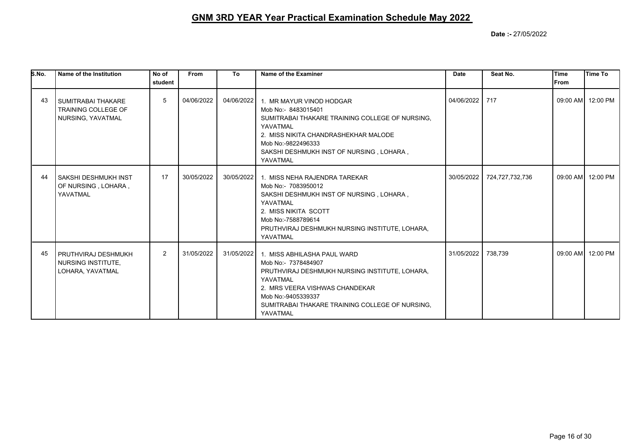| S.No. | Name of the Institution                                                      | No of<br>student | <b>From</b> | To         | Name of the Examiner                                                                                                                                                                                                                    | <b>Date</b> | Seat No.        | Time<br>lFrom | <b>Time To</b>    |
|-------|------------------------------------------------------------------------------|------------------|-------------|------------|-----------------------------------------------------------------------------------------------------------------------------------------------------------------------------------------------------------------------------------------|-------------|-----------------|---------------|-------------------|
| 43    | <b>SUMITRABAI THAKARE</b><br><b>TRAINING COLLEGE OF</b><br>NURSING, YAVATMAL | 5                | 04/06/2022  | 04/06/2022 | 1. MR MAYUR VINOD HODGAR<br>Mob No:- 8483015401<br>SUMITRABAI THAKARE TRAINING COLLEGE OF NURSING.<br>YAVATMAL<br>2. MISS NIKITA CHANDRASHEKHAR MALODE<br>Mob No:-9822496333<br>SAKSHI DESHMUKH INST OF NURSING, LOHARA,<br>YAVATMAL    | 04/06/2022  | 717             |               | 09:00 AM 12:00 PM |
| 44    | SAKSHI DESHMUKH INST<br>OF NURSING, LOHARA,<br>YAVATMAL                      | 17               | 30/05/2022  | 30/05/2022 | 1. MISS NEHA RAJENDRA TAREKAR<br>Mob No:- 7083950012<br>SAKSHI DESHMUKH INST OF NURSING, LOHARA,<br>YAVATMAL<br>2. MISS NIKITA SCOTT<br>Mob No:-7588789614<br>PRUTHVIRAJ DESHMUKH NURSING INSTITUTE, LOHARA,<br>YAVATMAL                | 30/05/2022  | 724,727,732,736 |               | 09:00 AM 12:00 PM |
| 45    | PRUTHVIRAJ DESHMUKH<br>NURSING INSTITUTE.<br>LOHARA, YAVATMAL                | $\overline{2}$   | 31/05/2022  | 31/05/2022 | 1. MISS ABHILASHA PAUL WARD<br>Mob No:- 7378484907<br>PRUTHVIRAJ DESHMUKH NURSING INSTITUTE, LOHARA,<br>YAVATMAL<br>2. MRS VEERA VISHWAS CHANDEKAR<br>Mob No:-9405339337<br>SUMITRABAI THAKARE TRAINING COLLEGE OF NURSING.<br>YAVATMAL | 31/05/2022  | 738,739         |               | 09:00 AM 12:00 PM |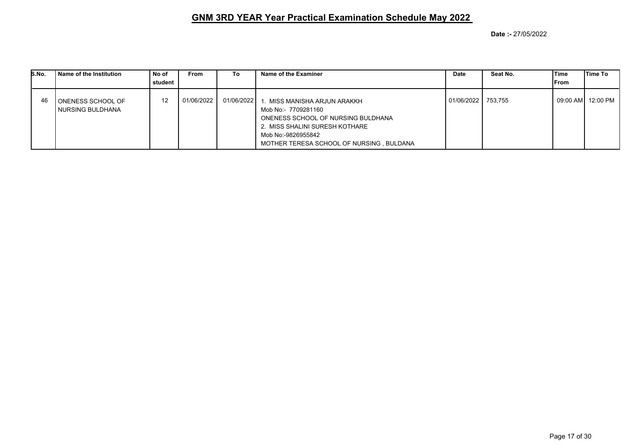| S.No. | Name of the Institution               | No of<br>student | <b>From</b> | To           | Name of the Examiner                                                                                                                                                                         | <b>Date</b> | Seat No. | Time<br>From | lTime To |
|-------|---------------------------------------|------------------|-------------|--------------|----------------------------------------------------------------------------------------------------------------------------------------------------------------------------------------------|-------------|----------|--------------|----------|
| 46    | ONENESS SCHOOL OF<br>NURSING BULDHANA | 12               | 01/06/2022  | 01/06/2022 1 | . MISS MANISHA ARJUN ARAKKH<br>Mob No:- 7709281160<br>ONENESS SCHOOL OF NURSING BULDHANA<br>2. MISS SHALINI SURESH KOTHARE<br>Mob No:-9826955842<br>MOTHER TERESA SCHOOL OF NURSING, BULDANA | 01/06/2022  | 753.755  | 09:00 AM     | 12:00 PM |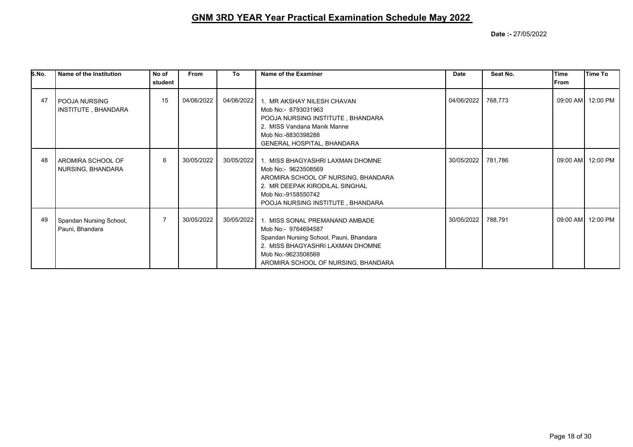| S.No. | Name of the Institution                     | No of<br>student | <b>From</b> | To         | Name of the Examiner                                                                                                                                                                              | <b>Date</b> | Seat No. | Time<br><b>IFrom</b> | <b>Time To</b>    |
|-------|---------------------------------------------|------------------|-------------|------------|---------------------------------------------------------------------------------------------------------------------------------------------------------------------------------------------------|-------------|----------|----------------------|-------------------|
| 47    | <b>POOJA NURSING</b><br>INSTITUTE, BHANDARA | 15               | 04/06/2022  | 04/06/2022 | 1. MR AKSHAY NILESH CHAVAN<br>Mob No:- 8793031963<br>POOJA NURSING INSTITUTE, BHANDARA<br>2. MISS Vandana Manik Manne<br>Mob No:-8830398288<br><b>GENERAL HOSPITAL, BHANDARA</b>                  | 04/06/2022  | 768,773  |                      | 09:00 AM 12:00 PM |
| 48    | AROMIRA SCHOOL OF<br>NURSING, BHANDARA      | 6                | 30/05/2022  | 30/05/2022 | 1. MISS BHAGYASHRI LAXMAN DHOMNE<br>Mob No:- 9623508569<br>AROMIRA SCHOOL OF NURSING, BHANDARA<br>2. MR DEEPAK KIRODILAL SINGHAL<br>Mob No:-9158550742<br>POOJA NURSING INSTITUTE, BHANDARA       | 30/05/2022  | 781,786  |                      | 09:00 AM 12:00 PM |
| 49    | Spandan Nursing School,<br>Pauni, Bhandara  | $\overline{7}$   | 30/05/2022  | 30/05/2022 | 1. MISS SONAL PREMANAND AMBADE<br>Mob No:- 9764694587<br>Spandan Nursing School, Pauni, Bhandara<br>2. MISS BHAGYASHRI LAXMAN DHOMNE<br>Mob No:-9623508569<br>AROMIRA SCHOOL OF NURSING, BHANDARA | 30/05/2022  | 788,791  |                      | 09:00 AM 12:00 PM |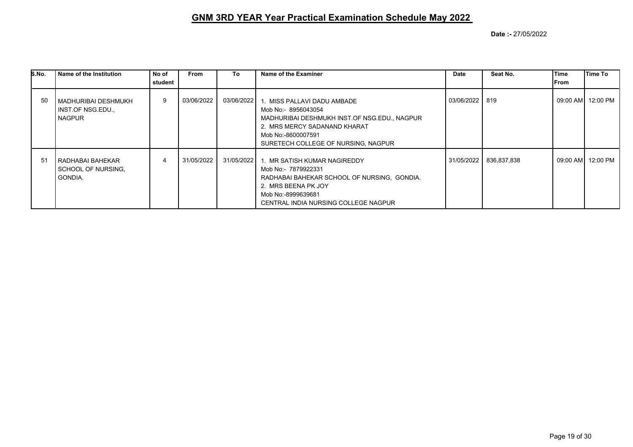| S.No. | l Name of the Institution                                    | No of<br>student | From       | To         | Name of the Examiner                                                                                                                                                                            | Date       | Seat No.    | lTime<br> From | lTime To           |
|-------|--------------------------------------------------------------|------------------|------------|------------|-------------------------------------------------------------------------------------------------------------------------------------------------------------------------------------------------|------------|-------------|----------------|--------------------|
|       |                                                              |                  |            |            |                                                                                                                                                                                                 |            |             |                |                    |
| 50    | I MADHURIBAI DESHMUKH<br>I INST OF NSG EDU.<br><b>NAGPUR</b> | 9                | 03/06/2022 | 03/06/2022 | 1. MISS PALLAVI DADU AMBADE<br>Mob No:- 8956043054<br>MADHURIBAI DESHMUKH INST.OF NSG.EDU., NAGPUR<br>2. MRS MERCY SADANAND KHARAT<br>Mob No:-8600007591<br>SURETECH COLLEGE OF NURSING, NAGPUR | 03/06/2022 | 819         |                | 09:00 AM  12:00 PM |
| 51    | l RADHABAI BAHEKAR<br>  SCHOOL OF NURSING.<br><b>GONDIA.</b> | 4                | 31/05/2022 | 31/05/2022 | 1. MR SATISH KUMAR NAGIREDDY<br>Mob No:- 7879922331<br>RADHABAI BAHEKAR SCHOOL OF NURSING, GONDIA.<br>2. MRS BEENA PK JOY<br>Mob No:-8999639681<br>CENTRAL INDIA NURSING COLLEGE NAGPUR         | 31/05/2022 | 836,837,838 |                | 09:00 AM  12:00 PM |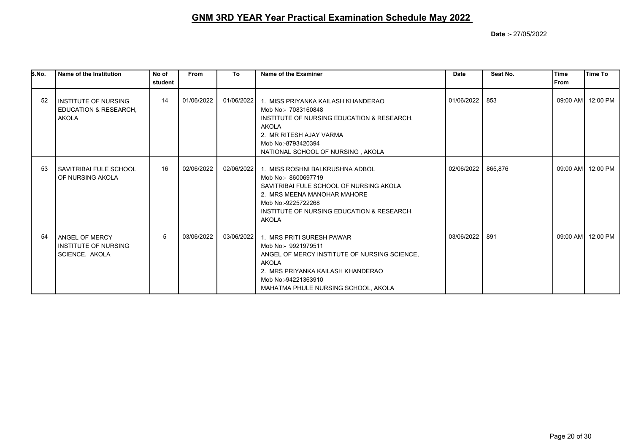| S.No. | Name of the Institution                                                         | No of<br>student | <b>From</b> | To         | Name of the Examiner                                                                                                                                                                                                               | <b>Date</b> | Seat No. | <b>Time</b><br><b>IFrom</b> | Time To           |
|-------|---------------------------------------------------------------------------------|------------------|-------------|------------|------------------------------------------------------------------------------------------------------------------------------------------------------------------------------------------------------------------------------------|-------------|----------|-----------------------------|-------------------|
| 52    | <b>INSTITUTE OF NURSING</b><br><b>EDUCATION &amp; RESEARCH,</b><br><b>AKOLA</b> | 14               | 01/06/2022  | 01/06/2022 | 1. MISS PRIYANKA KAILASH KHANDERAO<br>Mob No:- 7083160848<br>INSTITUTE OF NURSING EDUCATION & RESEARCH.<br><b>AKOLA</b><br>2. MR RITESH AJAY VARMA<br>Mob No:-8793420394<br>NATIONAL SCHOOL OF NURSING, AKOLA                      | 01/06/2022  | 853      |                             | 09:00 AM 12:00 PM |
| 53    | I SAVITRIBAI FULE SCHOOL<br>OF NURSING AKOLA                                    | 16               | 02/06/2022  |            | 02/06/2022   1. MISS ROSHNI BALKRUSHNA ADBOL<br>Mob No: - 8600697719<br>SAVITRIBAI FULE SCHOOL OF NURSING AKOLA<br>2. MRS MEENA MANOHAR MAHORE<br>Mob No:-9225722268<br>INSTITUTE OF NURSING EDUCATION & RESEARCH,<br><b>AKOLA</b> | 02/06/2022  | 865,876  |                             | 09:00 AM 12:00 PM |
| 54    | <b>ANGEL OF MERCY</b><br>INSTITUTE OF NURSING<br>SCIENCE, AKOLA                 | 5                | 03/06/2022  |            | 03/06/2022 1. MRS PRITI SURESH PAWAR<br>Mob No:- 9921979511<br>ANGEL OF MERCY INSTITUTE OF NURSING SCIENCE.<br>AKOLA<br>2. MRS PRIYANKA KAILASH KHANDERAO<br>Mob No:-94221363910<br>MAHATMA PHULE NURSING SCHOOL, AKOLA            | 03/06/2022  | 891      |                             | 09:00 AM 12:00 PM |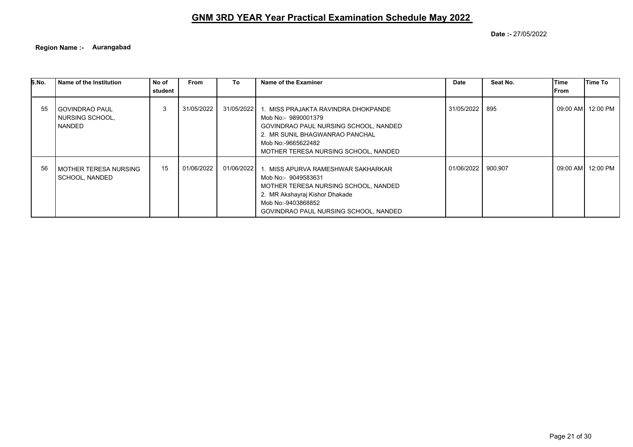**Date :-** 27/05/2022

**Region Name :- Aurangabad**

| S.No. | Name of the Institution                              | No of<br>student | <b>From</b> | To           | Name of the Examiner                                                                                                                                                                                | Date         | Seat No. | Time<br>lFrom | lTime To          |
|-------|------------------------------------------------------|------------------|-------------|--------------|-----------------------------------------------------------------------------------------------------------------------------------------------------------------------------------------------------|--------------|----------|---------------|-------------------|
| 55    | I GOVINDRAO PAUL<br>NURSING SCHOOL,<br><b>NANDED</b> | 3                | 31/05/2022  | 31/05/2022 l | 1. MISS PRAJAKTA RAVINDRA DHOKPANDE<br>Mob No:- 9890001379<br>GOVINDRAO PAUL NURSING SCHOOL, NANDED<br>2. MR SUNIL BHAGWANRAO PANCHAL<br>Mob No:-9665622482<br>MOTHER TERESA NURSING SCHOOL, NANDED | 31/05/2022   | 895      |               | 09:00 AM 12:00 PM |
| 56    | I MOTHER TERESA NURSING<br>l SCHOOL. NANDED          | 15               | 01/06/2022  | 01/06/2022   | 1. MISS APURVA RAMESHWAR SAKHARKAR<br>Mob No:- 9049583631<br>MOTHER TERESA NURSING SCHOOL, NANDED<br>2. MR Akshayraj Kishor Dhakade<br>Mob No:-9403868852<br>GOVINDRAO PAUL NURSING SCHOOL, NANDED  | 01/06/2022 1 | 900,907  | 09:00 AM      | 12:00 PM          |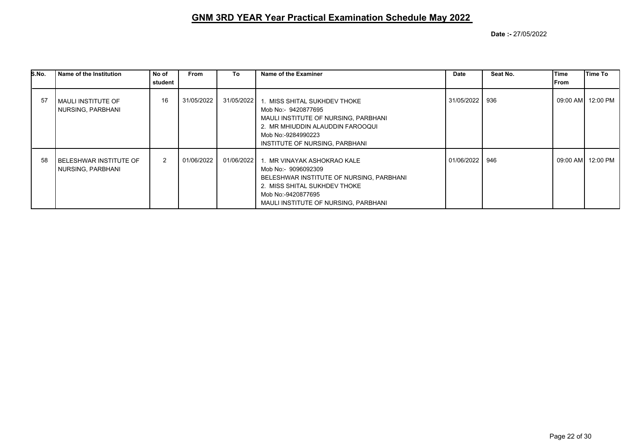| S.No. | Name of the Institution                         | No of          | <b>From</b> | To           | Name of the Examiner                                                                                                                                                                                    | Date       | Seat No. | lTime        | Time To            |
|-------|-------------------------------------------------|----------------|-------------|--------------|---------------------------------------------------------------------------------------------------------------------------------------------------------------------------------------------------------|------------|----------|--------------|--------------------|
|       |                                                 | student        |             |              |                                                                                                                                                                                                         |            |          | <b>IFrom</b> |                    |
| 57    | l MAULI INSTITUTE OF<br>  NURSING, PARBHANI     | 16             | 31/05/2022  | 31/05/2022 1 | . MISS SHITAL SUKHDEV THOKE<br>Mob No:- 9420877695<br>MAULI INSTITUTE OF NURSING, PARBHANI<br>2. MR MHIUDDIN ALAUDDIN FAROOQUI<br>Mob No:-9284990223<br>INSTITUTE OF NURSING, PARBHANI                  | 31/05/2022 | 936      |              | 09:00 AM 12:00 PM  |
| 58    | I BELESHWAR INSTITUTE OF<br>  NURSING, PARBHANI | $\overline{2}$ | 01/06/2022  |              | 01/06/2022 1. MR VINAYAK ASHOKRAO KALE<br>Mob No:- 9096092309<br>BELESHWAR INSTITUTE OF NURSING, PARBHANI<br>2. MISS SHITAL SUKHDEV THOKE<br>Mob No:-9420877695<br>MAULI INSTITUTE OF NURSING, PARBHANI | 01/06/2022 | 946      |              | 09:00 AM  12:00 PM |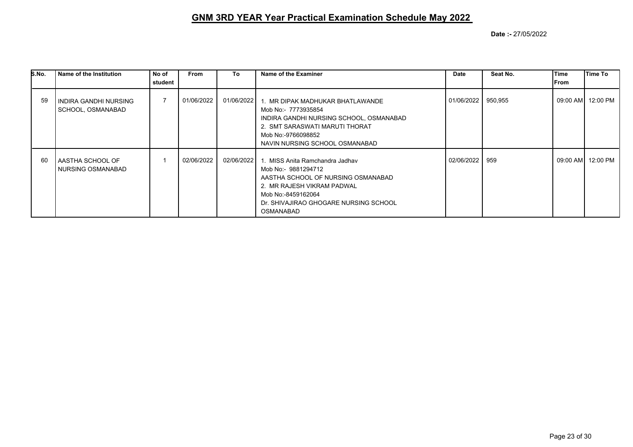| S.No. | Name of the Institution                       | No of   | <b>From</b> | To           | Name of the Examiner                                                                                                                                                                                       | Date       | Seat No. | Time | Time To           |
|-------|-----------------------------------------------|---------|-------------|--------------|------------------------------------------------------------------------------------------------------------------------------------------------------------------------------------------------------------|------------|----------|------|-------------------|
|       |                                               | student |             |              |                                                                                                                                                                                                            |            |          | From |                   |
| 59    | INDIRA GANDHI NURSING<br>  SCHOOL, OSMANABAD_ |         | 01/06/2022  |              | 01/06/2022 1. MR DIPAK MADHUKAR BHATLAWANDE<br>Mob No:- 7773935854<br>INDIRA GANDHI NURSING SCHOOL, OSMANABAD<br>2. SMT SARASWATI MARUTI THORAT<br>Mob No:-9766098852<br>NAVIN NURSING SCHOOL OSMANABAD    | 01/06/2022 | 950,955  |      | 09:00 AM 12:00 PM |
| -60   | AASTHA SCHOOL OF<br>I NURSING OSMANABAD       |         | 02/06/2022  | 02/06/2022 1 | MISS Anita Ramchandra Jadhay<br>Mob No:- 9881294712<br>AASTHA SCHOOL OF NURSING OSMANABAD<br>2. MR RAJESH VIKRAM PADWAL<br>Mob No:-8459162064<br>Dr. SHIVAJIRAO GHOGARE NURSING SCHOOL<br><b>OSMANABAD</b> | 02/06/2022 | 959      |      | 09:00 AM 12:00 PM |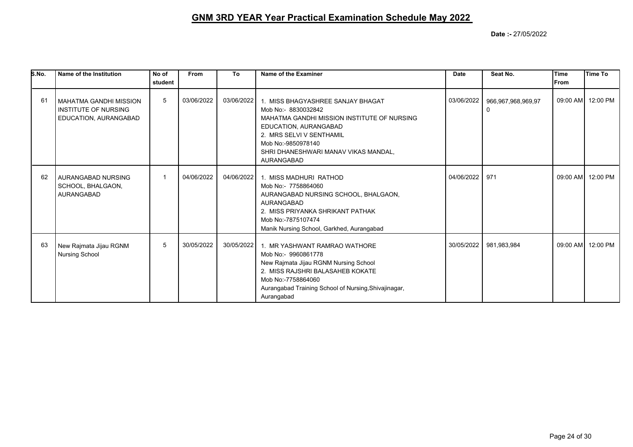| S.No. | Name of the Institution                                                        | No of<br>student | From       | To         | Name of the Examiner                                                                                                                                                                                                                            | <b>Date</b> | Seat No.                | Time<br>lFrom | lTime To          |
|-------|--------------------------------------------------------------------------------|------------------|------------|------------|-------------------------------------------------------------------------------------------------------------------------------------------------------------------------------------------------------------------------------------------------|-------------|-------------------------|---------------|-------------------|
| 61    | MAHATMA GANDHI MISSION<br><b>INSTITUTE OF NURSING</b><br>EDUCATION, AURANGABAD | 5                | 03/06/2022 | 03/06/2022 | 1. MISS BHAGYASHREE SANJAY BHAGAT<br>Mob No:- 8830032842<br>MAHATMA GANDHI MISSION INSTITUTE OF NURSING<br>EDUCATION, AURANGABAD<br>2. MRS SELVI V SENTHAMIL<br>Mob No:-9850978140<br>SHRI DHANESHWARI MANAV VIKAS MANDAL,<br><b>AURANGABAD</b> | 03/06/2022  | 966,967,968,969,97<br>0 |               | 09:00 AM 12:00 PM |
| 62    | AURANGABAD NURSING<br>SCHOOL, BHALGAON,<br><b>AURANGABAD</b>                   | $\mathbf{1}$     | 04/06/2022 | 04/06/2022 | 1. MISS MADHURI RATHOD<br>Mob No:- 7758864060<br>AURANGABAD NURSING SCHOOL, BHALGAON,<br>AURANGABAD<br>2. MISS PRIYANKA SHRIKANT PATHAK<br>Mob No:-7875107474<br>Manik Nursing School, Garkhed, Aurangabad                                      | 04/06/2022  | 971                     |               | 09:00 AM 12:00 PM |
| 63    | New Rajmata Jijau RGNM<br><b>Nursing School</b>                                | 5                | 30/05/2022 | 30/05/2022 | 1. MR YASHWANT RAMRAO WATHORE<br>Mob No:- 9960861778<br>New Rajmata Jijau RGNM Nursing School<br>2. MISS RAJSHRI BALASAHEB KOKATE<br>Mob No:-7758864060<br>Aurangabad Training School of Nursing, Shivajinagar,<br>Aurangabad                   | 30/05/2022  | 981,983,984             |               | 09:00 AM 12:00 PM |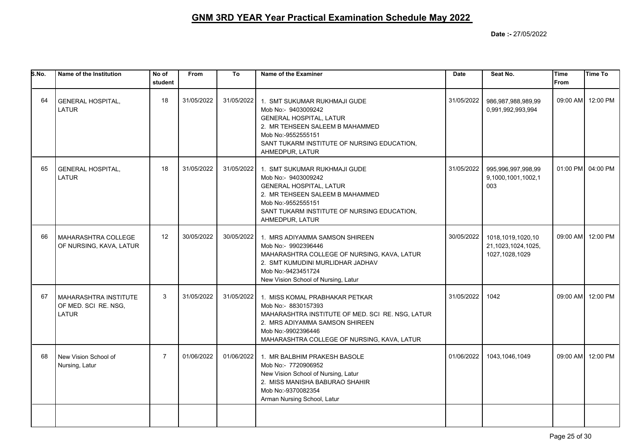| S.No. | Name of the Institution                                       | No of<br>student | From       | To         | Name of the Examiner                                                                                                                                                                                             | <b>Date</b> | Seat No.                                                  | <b>Time</b><br><b>From</b> | <b>Time To</b>    |
|-------|---------------------------------------------------------------|------------------|------------|------------|------------------------------------------------------------------------------------------------------------------------------------------------------------------------------------------------------------------|-------------|-----------------------------------------------------------|----------------------------|-------------------|
| 64    | <b>GENERAL HOSPITAL,</b><br>LATUR                             | 18               | 31/05/2022 | 31/05/2022 | 1. SMT SUKUMAR RUKHMAJI GUDE<br>Mob No:- 9403009242<br><b>GENERAL HOSPITAL, LATUR</b><br>2. MR TEHSEEN SALEEM B MAHAMMED<br>Mob No:-9552555151<br>SANT TUKARM INSTITUTE OF NURSING EDUCATION.<br>AHMEDPUR, LATUR | 31/05/2022  | 986,987,988,989,99<br>0,991,992,993,994                   |                            | 09:00 AM 12:00 PM |
| 65    | GENERAL HOSPITAL,<br><b>LATUR</b>                             | 18               | 31/05/2022 | 31/05/2022 | 1. SMT SUKUMAR RUKHMAJI GUDE<br>Mob No:- 9403009242<br><b>GENERAL HOSPITAL, LATUR</b><br>2. MR TEHSEEN SALEEM B MAHAMMED<br>Mob No:-9552555151<br>SANT TUKARM INSTITUTE OF NURSING EDUCATION,<br>AHMEDPUR, LATUR | 31/05/2022  | 995,996,997,998,99<br>9,1000,1001,1002,1<br>003           |                            | 01:00 PM 04:00 PM |
| 66    | <b>MAHARASHTRA COLLEGE</b><br>OF NURSING, KAVA, LATUR         | 12               | 30/05/2022 | 30/05/2022 | 1. MRS ADIYAMMA SAMSON SHIREEN<br>Mob No:- 9902396446<br>MAHARASHTRA COLLEGE OF NURSING, KAVA, LATUR<br>2. SMT KUMUDINI MURLIDHAR JADHAV<br>Mob No:-9423451724<br>New Vision School of Nursing, Latur            | 30/05/2022  | 1018,1019,1020,10<br>21,1023,1024,1025,<br>1027,1028,1029 |                            | 09:00 AM 12:00 PM |
| 67    | MAHARASHTRA INSTITUTE<br>OF MED. SCI RE. NSG,<br><b>LATUR</b> | 3                | 31/05/2022 | 31/05/2022 | 1. MISS KOMAL PRABHAKAR PETKAR<br>Mob No:- 8830157393<br>MAHARASHTRA INSTITUTE OF MED. SCI RE. NSG, LATUR<br>2. MRS ADIYAMMA SAMSON SHIREEN<br>Mob No:-9902396446<br>MAHARASHTRA COLLEGE OF NURSING, KAVA, LATUR | 31/05/2022  | 1042                                                      |                            | 09:00 AM 12:00 PM |
| 68    | New Vision School of<br>Nursing, Latur                        | $\overline{7}$   | 01/06/2022 | 01/06/2022 | 1. MR BALBHIM PRAKESH BASOLE<br>Mob No:- 7720906952<br>New Vision School of Nursing, Latur<br>2. MISS MANISHA BABURAO SHAHIR<br>Mob No:-9370082354<br>Arman Nursing School, Latur                                | 01/06/2022  | 1043, 1046, 1049                                          | 09:00 AM                   | 12:00 PM          |
|       |                                                               |                  |            |            |                                                                                                                                                                                                                  |             |                                                           |                            |                   |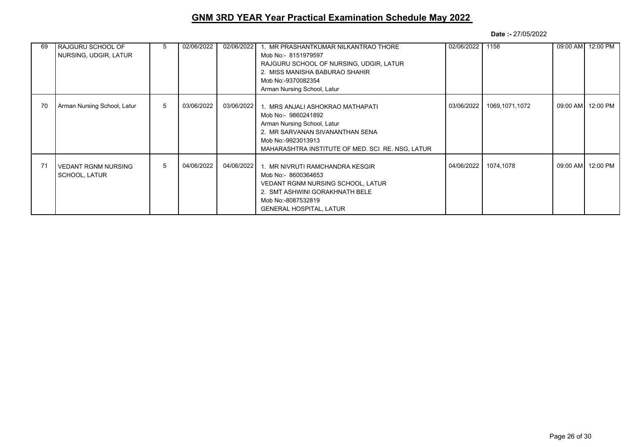| 69 | RAJGURU SCHOOL OF<br>NURSING, UDGIR, LATUR | 5 | 02/06/2022 | 02/06/2022 | 1. MR PRASHANTKUMAR NILKANTRAO THORE<br>Mob No:- 8151979597<br>RAJGURU SCHOOL OF NURSING, UDGIR, LATUR<br>2. MISS MANISHA BABURAO SHAHIR<br>Mob No:-9370082354<br>Arman Nursing School, Latur       | 02/06/2022 | 1158           | 09:00 AM | 12:00 PM          |
|----|--------------------------------------------|---|------------|------------|-----------------------------------------------------------------------------------------------------------------------------------------------------------------------------------------------------|------------|----------------|----------|-------------------|
| 70 | Arman Nursing School, Latur                | 5 | 03/06/2022 | 03/06/2022 | 1. MRS ANJALI ASHOKRAO MATHAPATI<br>Mob No:- 9860241892<br>Arman Nursing School, Latur<br>2. MR SARVANAN SIVANANTHAN SENA<br>Mob No:-9923013913<br>MAHARASHTRA INSTITUTE OF MED. SCI RE. NSG, LATUR | 03/06/2022 | 1069,1071,1072 |          | 09:00 AM 12:00 PM |
| 71 | VEDANT RGNM NURSING<br>  SCHOOL, LATUR     | 5 | 04/06/2022 | 04/06/2022 | 1. MR NIVRUTI RAMCHANDRA KESGIR<br>Mob No:- 8600364653<br><b>VEDANT RGNM NURSING SCHOOL, LATUR</b><br>2. SMT ASHWINI GORAKHNATH BELE<br>Mob No:-8087532819<br><b>GENERAL HOSPITAL, LATUR</b>        | 04/06/2022 | 1074,1078      |          | 09:00 AM 12:00 PM |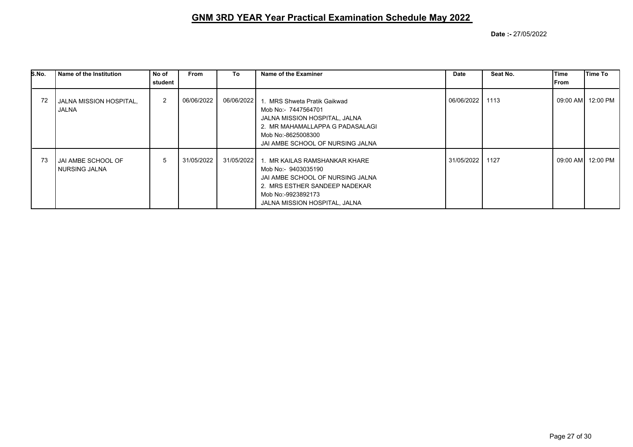| S.No. | Name of the Institution                 | No of<br>student | <b>From</b> | To           | Name of the Examiner                                                                                                                                                             | Date       | Seat No. | lTime<br> From | Time To            |
|-------|-----------------------------------------|------------------|-------------|--------------|----------------------------------------------------------------------------------------------------------------------------------------------------------------------------------|------------|----------|----------------|--------------------|
| 72    | JALNA MISSION HOSPITAL,<br><b>JALNA</b> | $\overline{2}$   | 06/06/2022  | 06/06/2022 1 | . MRS Shweta Pratik Gaikwad<br>Mob No:- 7447564701<br>JALNA MISSION HOSPITAL, JALNA<br>2. MR MAHAMALLAPPA G PADASALAGI<br>Mob No:-8625008300<br>JAI AMBE SCHOOL OF NURSING JALNA | 06/06/2022 | 1113     |                | 09:00 AM 12:00 PM  |
| 73    | JAI AMBE SCHOOL OF<br>I NURSING JALNA   | 5                | 31/05/2022  | 31/05/2022 1 | . MR KAILAS RAMSHANKAR KHARE<br>Mob No:- 9403035190<br>JAI AMBE SCHOOL OF NURSING JALNA<br>2. MRS ESTHER SANDEEP NADEKAR<br>Mob No:-9923892173<br>JALNA MISSION HOSPITAL, JALNA  | 31/05/2022 | 1127     |                | 09:00 AM  12:00 PM |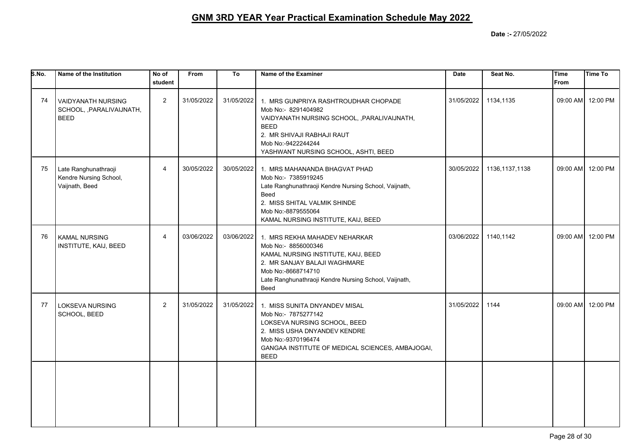| 5. No. | Name of the Institution                                          | No of<br>student | <b>From</b> | To         | Name of the Examiner                                                                                                                                                                                                   | <b>Date</b> | Seat No.         | <b>Time</b><br><b>From</b> | <b>Time To</b>    |
|--------|------------------------------------------------------------------|------------------|-------------|------------|------------------------------------------------------------------------------------------------------------------------------------------------------------------------------------------------------------------------|-------------|------------------|----------------------------|-------------------|
| 74     | VAIDYANATH NURSING<br>SCHOOL, , PARALIVAIJNATH,<br><b>BEED</b>   | 2                | 31/05/2022  | 31/05/2022 | 1. MRS GUNPRIYA RASHTROUDHAR CHOPADE<br>Mob No:- 8291404982<br>VAIDYANATH NURSING SCHOOL, , PARALIVAIJNATH,<br><b>BEED</b><br>2. MR SHIVAJI RABHAJI RAUT<br>Mob No:-9422244244<br>YASHWANT NURSING SCHOOL, ASHTI, BEED | 31/05/2022  | 1134,1135        |                            | 09:00 AM 12:00 PM |
| 75     | Late Ranghunathraoji<br>Kendre Nursing School,<br>Vaijnath, Beed | $\overline{4}$   | 30/05/2022  | 30/05/2022 | 1. MRS MAHANANDA BHAGVAT PHAD<br>Mob No:- 7385919245<br>Late Ranghunathraoji Kendre Nursing School, Vaijnath,<br>Beed<br>2. MISS SHITAL VALMIK SHINDE<br>Mob No:-8879555064<br>KAMAL NURSING INSTITUTE, KAIJ, BEED     | 30/05/2022  | 1136, 1137, 1138 |                            | 09:00 AM 12:00 PM |
| 76     | <b>KAMAL NURSING</b><br>INSTITUTE, KAIJ, BEED                    | $\overline{4}$   | 03/06/2022  | 03/06/2022 | 1. MRS REKHA MAHADEV NEHARKAR<br>Mob No:- 8856000346<br>KAMAL NURSING INSTITUTE, KAIJ, BEED<br>2. MR SANJAY BALAJI WAGHMARE<br>Mob No:-8668714710<br>Late Ranghunathraoji Kendre Nursing School, Vaijnath,<br>Beed     | 03/06/2022  | 1140,1142        |                            | 09:00 AM 12:00 PM |
| 77     | LOKSEVA NURSING<br>SCHOOL, BEED                                  | $\overline{2}$   | 31/05/2022  | 31/05/2022 | 1. MISS SUNITA DNYANDEV MISAL<br>Mob No:- 7875277142<br>LOKSEVA NURSING SCHOOL, BEED<br>2. MISS USHA DNYANDEV KENDRE<br>Mob No:-9370196474<br>GANGAA INSTITUTE OF MEDICAL SCIENCES, AMBAJOGAI,<br><b>BEED</b>          | 31/05/2022  | 1144             |                            | 09:00 AM 12:00 PM |
|        |                                                                  |                  |             |            |                                                                                                                                                                                                                        |             |                  |                            |                   |